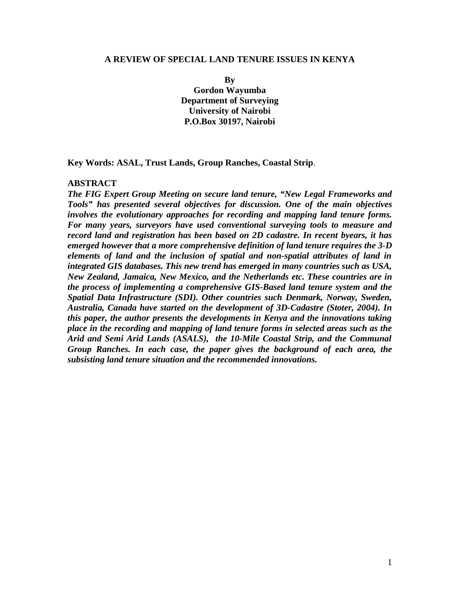#### **A REVIEW OF SPECIAL LAND TENURE ISSUES IN KENYA**

**By Gordon Wayumba Department of Surveying University of Nairobi P.O.Box 30197, Nairobi** 

**Key Words: ASAL, Trust Lands, Group Ranches, Coastal Strip**.

### **ABSTRACT**

*The FIG Expert Group Meeting on secure land tenure, "New Legal Frameworks and Tools" has presented several objectives for discussion. One of the main objectives involves the evolutionary approaches for recording and mapping land tenure forms. For many years, surveyors have used conventional surveying tools to measure and record land and registration has been based on 2D cadastre. In recent byears, it has emerged however that a more comprehensive definition of land tenure requires the 3-D elements of land and the inclusion of spatial and non-spatial attributes of land in integrated GIS databases. This new trend has emerged in many countries such as USA, New Zealand, Jamaica, New Mexico, and the Netherlands etc. These countries are in the process of implementing a comprehensive GIS-Based land tenure system and the Spatial Data Infrastructure (SDI). Other countries such Denmark, Norway, Sweden, Australia, Canada have started on the development of 3D-Cadastre (Stoter, 2004). In this paper, the author presents the developments in Kenya and the innovations taking place in the recording and mapping of land tenure forms in selected areas such as the Arid and Semi Arid Lands (ASALS), the 10-Mile Coastal Strip, and the Communal Group Ranches. In each case, the paper gives the background of each area, the subsisting land tenure situation and the recommended innovations.*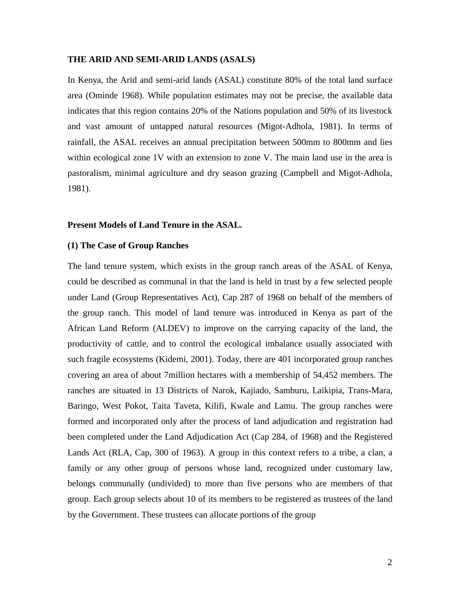#### **THE ARID AND SEMI-ARID LANDS (ASALS)**

In Kenya, the Arid and semi-arid lands (ASAL) constitute 80% of the total land surface area (Ominde 1968). While population estimates may not be precise, the available data indicates that this region contains 20% of the Nations population and 50% of its livestock and vast amount of untapped natural resources (Migot-Adhola, 1981). In terms of rainfall, the ASAL receives an annual precipitation between 500mm to 800mm and lies within ecological zone 1V with an extension to zone V. The main land use in the area is pastoralism, minimal agriculture and dry season grazing (Campbell and Migot-Adhola, 1981).

### **Present Models of Land Tenure in the ASAL.**

#### **(1) The Case of Group Ranches**

The land tenure system, which exists in the group ranch areas of the ASAL of Kenya, could be described as communal in that the land is held in trust by a few selected people under Land (Group Representatives Act), Cap 287 of 1968 on behalf of the members of the group ranch. This model of land tenure was introduced in Kenya as part of the African Land Reform (ALDEV) to improve on the carrying capacity of the land, the productivity of cattle, and to control the ecological imbalance usually associated with such fragile ecosystems (Kidemi, 2001). Today, there are 401 incorporated group ranches covering an area of about 7million hectares with a membership of 54,452 members. The ranches are situated in 13 Districts of Narok, Kajiado, Samburu, Laikipia, Trans-Mara, Baringo, West Pokot, Taita Taveta, Kilifi, Kwale and Lamu. The group ranches were formed and incorporated only after the process of land adjudication and registration had been completed under the Land Adjudication Act (Cap 284, of 1968) and the Registered Lands Act (RLA, Cap, 300 of 1963). A group in this context refers to a tribe, a clan, a family or any other group of persons whose land, recognized under customary law, belongs communally (undivided) to more than five persons who are members of that group. Each group selects about 10 of its members to be registered as trustees of the land by the Government. These trustees can allocate portions of the group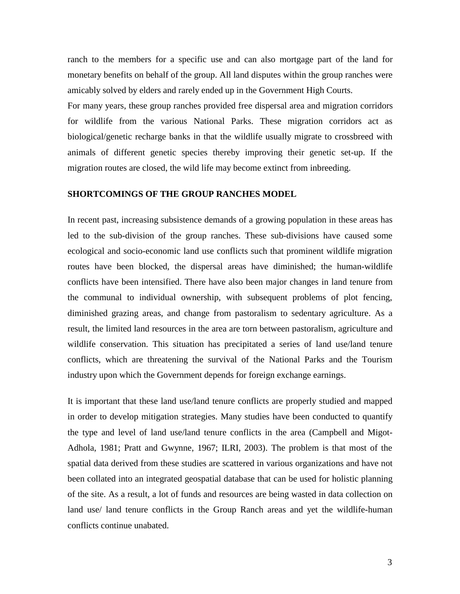ranch to the members for a specific use and can also mortgage part of the land for monetary benefits on behalf of the group. All land disputes within the group ranches were amicably solved by elders and rarely ended up in the Government High Courts.

For many years, these group ranches provided free dispersal area and migration corridors for wildlife from the various National Parks. These migration corridors act as biological/genetic recharge banks in that the wildlife usually migrate to crossbreed with animals of different genetic species thereby improving their genetic set-up. If the migration routes are closed, the wild life may become extinct from inbreeding.

# **SHORTCOMINGS OF THE GROUP RANCHES MODEL**

In recent past, increasing subsistence demands of a growing population in these areas has led to the sub-division of the group ranches. These sub-divisions have caused some ecological and socio-economic land use conflicts such that prominent wildlife migration routes have been blocked, the dispersal areas have diminished; the human-wildlife conflicts have been intensified. There have also been major changes in land tenure from the communal to individual ownership, with subsequent problems of plot fencing, diminished grazing areas, and change from pastoralism to sedentary agriculture. As a result, the limited land resources in the area are torn between pastoralism, agriculture and wildlife conservation. This situation has precipitated a series of land use/land tenure conflicts, which are threatening the survival of the National Parks and the Tourism industry upon which the Government depends for foreign exchange earnings.

It is important that these land use/land tenure conflicts are properly studied and mapped in order to develop mitigation strategies. Many studies have been conducted to quantify the type and level of land use/land tenure conflicts in the area (Campbell and Migot-Adhola, 1981; Pratt and Gwynne, 1967; ILRI, 2003). The problem is that most of the spatial data derived from these studies are scattered in various organizations and have not been collated into an integrated geospatial database that can be used for holistic planning of the site. As a result, a lot of funds and resources are being wasted in data collection on land use/ land tenure conflicts in the Group Ranch areas and yet the wildlife-human conflicts continue unabated.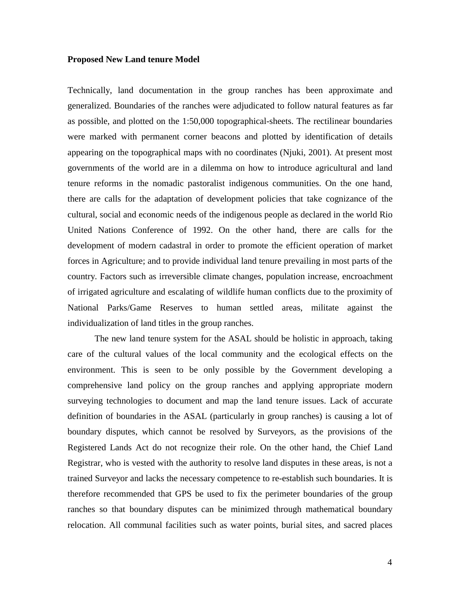#### **Proposed New Land tenure Model**

Technically, land documentation in the group ranches has been approximate and generalized. Boundaries of the ranches were adjudicated to follow natural features as far as possible, and plotted on the 1:50,000 topographical-sheets. The rectilinear boundaries were marked with permanent corner beacons and plotted by identification of details appearing on the topographical maps with no coordinates (Njuki, 2001). At present most governments of the world are in a dilemma on how to introduce agricultural and land tenure reforms in the nomadic pastoralist indigenous communities. On the one hand, there are calls for the adaptation of development policies that take cognizance of the cultural, social and economic needs of the indigenous people as declared in the world Rio United Nations Conference of 1992. On the other hand, there are calls for the development of modern cadastral in order to promote the efficient operation of market forces in Agriculture; and to provide individual land tenure prevailing in most parts of the country. Factors such as irreversible climate changes, population increase, encroachment of irrigated agriculture and escalating of wildlife human conflicts due to the proximity of National Parks/Game Reserves to human settled areas, militate against the individualization of land titles in the group ranches.

The new land tenure system for the ASAL should be holistic in approach, taking care of the cultural values of the local community and the ecological effects on the environment. This is seen to be only possible by the Government developing a comprehensive land policy on the group ranches and applying appropriate modern surveying technologies to document and map the land tenure issues. Lack of accurate definition of boundaries in the ASAL (particularly in group ranches) is causing a lot of boundary disputes, which cannot be resolved by Surveyors, as the provisions of the Registered Lands Act do not recognize their role. On the other hand, the Chief Land Registrar, who is vested with the authority to resolve land disputes in these areas, is not a trained Surveyor and lacks the necessary competence to re-establish such boundaries. It is therefore recommended that GPS be used to fix the perimeter boundaries of the group ranches so that boundary disputes can be minimized through mathematical boundary relocation. All communal facilities such as water points, burial sites, and sacred places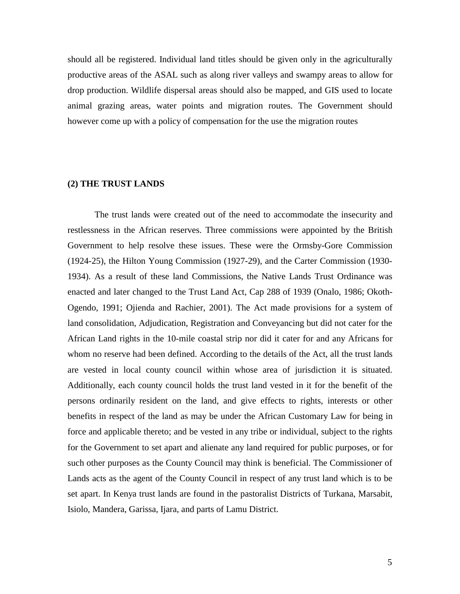should all be registered. Individual land titles should be given only in the agriculturally productive areas of the ASAL such as along river valleys and swampy areas to allow for drop production. Wildlife dispersal areas should also be mapped, and GIS used to locate animal grazing areas, water points and migration routes. The Government should however come up with a policy of compensation for the use the migration routes

### **(2) THE TRUST LANDS**

The trust lands were created out of the need to accommodate the insecurity and restlessness in the African reserves. Three commissions were appointed by the British Government to help resolve these issues. These were the Ormsby-Gore Commission (1924-25), the Hilton Young Commission (1927-29), and the Carter Commission (1930- 1934). As a result of these land Commissions, the Native Lands Trust Ordinance was enacted and later changed to the Trust Land Act, Cap 288 of 1939 (Onalo, 1986; Okoth-Ogendo, 1991; Ojienda and Rachier, 2001). The Act made provisions for a system of land consolidation, Adjudication, Registration and Conveyancing but did not cater for the African Land rights in the 10-mile coastal strip nor did it cater for and any Africans for whom no reserve had been defined. According to the details of the Act, all the trust lands are vested in local county council within whose area of jurisdiction it is situated. Additionally, each county council holds the trust land vested in it for the benefit of the persons ordinarily resident on the land, and give effects to rights, interests or other benefits in respect of the land as may be under the African Customary Law for being in force and applicable thereto; and be vested in any tribe or individual, subject to the rights for the Government to set apart and alienate any land required for public purposes, or for such other purposes as the County Council may think is beneficial. The Commissioner of Lands acts as the agent of the County Council in respect of any trust land which is to be set apart. In Kenya trust lands are found in the pastoralist Districts of Turkana, Marsabit, Isiolo, Mandera, Garissa, Ijara, and parts of Lamu District.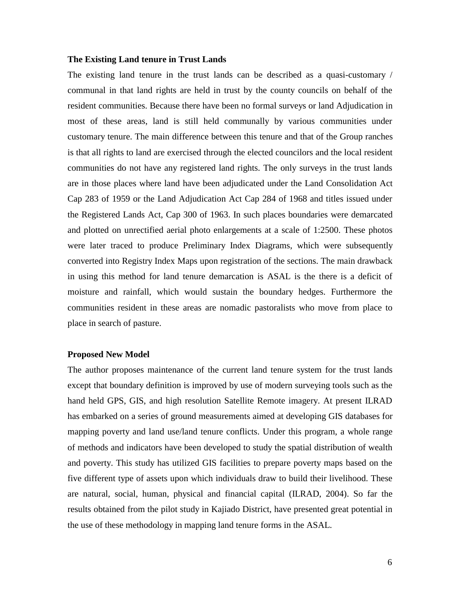### **The Existing Land tenure in Trust Lands**

The existing land tenure in the trust lands can be described as a quasi-customary / communal in that land rights are held in trust by the county councils on behalf of the resident communities. Because there have been no formal surveys or land Adjudication in most of these areas, land is still held communally by various communities under customary tenure. The main difference between this tenure and that of the Group ranches is that all rights to land are exercised through the elected councilors and the local resident communities do not have any registered land rights. The only surveys in the trust lands are in those places where land have been adjudicated under the Land Consolidation Act Cap 283 of 1959 or the Land Adjudication Act Cap 284 of 1968 and titles issued under the Registered Lands Act, Cap 300 of 1963. In such places boundaries were demarcated and plotted on unrectified aerial photo enlargements at a scale of 1:2500. These photos were later traced to produce Preliminary Index Diagrams, which were subsequently converted into Registry Index Maps upon registration of the sections. The main drawback in using this method for land tenure demarcation is ASAL is the there is a deficit of moisture and rainfall, which would sustain the boundary hedges. Furthermore the communities resident in these areas are nomadic pastoralists who move from place to place in search of pasture.

### **Proposed New Model**

The author proposes maintenance of the current land tenure system for the trust lands except that boundary definition is improved by use of modern surveying tools such as the hand held GPS, GIS, and high resolution Satellite Remote imagery. At present ILRAD has embarked on a series of ground measurements aimed at developing GIS databases for mapping poverty and land use/land tenure conflicts. Under this program, a whole range of methods and indicators have been developed to study the spatial distribution of wealth and poverty. This study has utilized GIS facilities to prepare poverty maps based on the five different type of assets upon which individuals draw to build their livelihood. These are natural, social, human, physical and financial capital (ILRAD, 2004). So far the results obtained from the pilot study in Kajiado District, have presented great potential in the use of these methodology in mapping land tenure forms in the ASAL.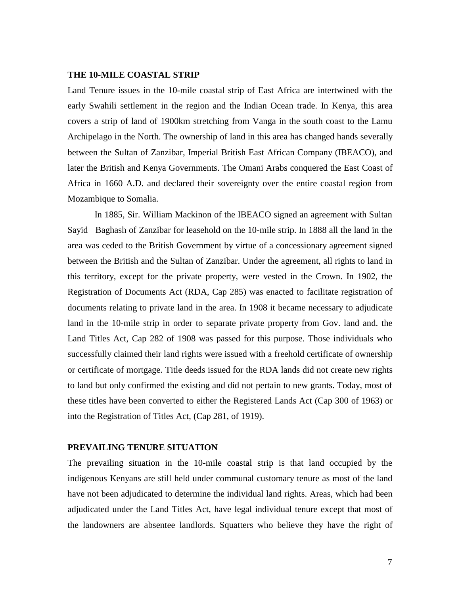#### **THE 10-MILE COASTAL STRIP**

Land Tenure issues in the 10-mile coastal strip of East Africa are intertwined with the early Swahili settlement in the region and the Indian Ocean trade. In Kenya, this area covers a strip of land of 1900km stretching from Vanga in the south coast to the Lamu Archipelago in the North. The ownership of land in this area has changed hands severally between the Sultan of Zanzibar, Imperial British East African Company (IBEACO), and later the British and Kenya Governments. The Omani Arabs conquered the East Coast of Africa in 1660 A.D. and declared their sovereignty over the entire coastal region from Mozambique to Somalia.

In 1885, Sir. William Mackinon of the IBEACO signed an agreement with Sultan Sayid Baghash of Zanzibar for leasehold on the 10-mile strip. In 1888 all the land in the area was ceded to the British Government by virtue of a concessionary agreement signed between the British and the Sultan of Zanzibar. Under the agreement, all rights to land in this territory, except for the private property, were vested in the Crown. In 1902, the Registration of Documents Act (RDA, Cap 285) was enacted to facilitate registration of documents relating to private land in the area. In 1908 it became necessary to adjudicate land in the 10-mile strip in order to separate private property from Gov. land and. the Land Titles Act, Cap 282 of 1908 was passed for this purpose. Those individuals who successfully claimed their land rights were issued with a freehold certificate of ownership or certificate of mortgage. Title deeds issued for the RDA lands did not create new rights to land but only confirmed the existing and did not pertain to new grants. Today, most of these titles have been converted to either the Registered Lands Act (Cap 300 of 1963) or into the Registration of Titles Act, (Cap 281, of 1919).

### **PREVAILING TENURE SITUATION**

The prevailing situation in the 10-mile coastal strip is that land occupied by the indigenous Kenyans are still held under communal customary tenure as most of the land have not been adjudicated to determine the individual land rights. Areas, which had been adjudicated under the Land Titles Act, have legal individual tenure except that most of the landowners are absentee landlords. Squatters who believe they have the right of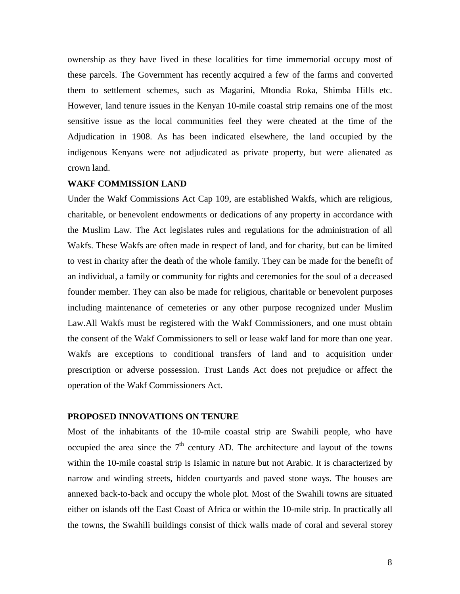ownership as they have lived in these localities for time immemorial occupy most of these parcels. The Government has recently acquired a few of the farms and converted them to settlement schemes, such as Magarini, Mtondia Roka, Shimba Hills etc. However, land tenure issues in the Kenyan 10-mile coastal strip remains one of the most sensitive issue as the local communities feel they were cheated at the time of the Adjudication in 1908. As has been indicated elsewhere, the land occupied by the indigenous Kenyans were not adjudicated as private property, but were alienated as crown land.

## **WAKF COMMISSION LAND**

Under the Wakf Commissions Act Cap 109, are established Wakfs, which are religious, charitable, or benevolent endowments or dedications of any property in accordance with the Muslim Law. The Act legislates rules and regulations for the administration of all Wakfs. These Wakfs are often made in respect of land, and for charity, but can be limited to vest in charity after the death of the whole family. They can be made for the benefit of an individual, a family or community for rights and ceremonies for the soul of a deceased founder member. They can also be made for religious, charitable or benevolent purposes including maintenance of cemeteries or any other purpose recognized under Muslim Law.All Wakfs must be registered with the Wakf Commissioners, and one must obtain the consent of the Wakf Commissioners to sell or lease wakf land for more than one year. Wakfs are exceptions to conditional transfers of land and to acquisition under prescription or adverse possession. Trust Lands Act does not prejudice or affect the operation of the Wakf Commissioners Act.

## **PROPOSED INNOVATIONS ON TENURE**

Most of the inhabitants of the 10-mile coastal strip are Swahili people, who have occupied the area since the  $7<sup>th</sup>$  century AD. The architecture and layout of the towns within the 10-mile coastal strip is Islamic in nature but not Arabic. It is characterized by narrow and winding streets, hidden courtyards and paved stone ways. The houses are annexed back-to-back and occupy the whole plot. Most of the Swahili towns are situated either on islands off the East Coast of Africa or within the 10-mile strip. In practically all the towns, the Swahili buildings consist of thick walls made of coral and several storey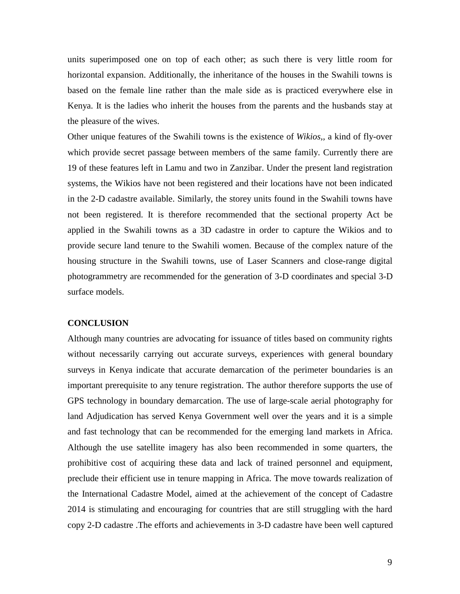units superimposed one on top of each other; as such there is very little room for horizontal expansion. Additionally, the inheritance of the houses in the Swahili towns is based on the female line rather than the male side as is practiced everywhere else in Kenya. It is the ladies who inherit the houses from the parents and the husbands stay at the pleasure of the wives.

Other unique features of the Swahili towns is the existence of *Wikios,,* a kind of fly-over which provide secret passage between members of the same family. Currently there are 19 of these features left in Lamu and two in Zanzibar. Under the present land registration systems, the Wikios have not been registered and their locations have not been indicated in the 2-D cadastre available. Similarly, the storey units found in the Swahili towns have not been registered. It is therefore recommended that the sectional property Act be applied in the Swahili towns as a 3D cadastre in order to capture the Wikios and to provide secure land tenure to the Swahili women. Because of the complex nature of the housing structure in the Swahili towns, use of Laser Scanners and close-range digital photogrammetry are recommended for the generation of 3-D coordinates and special 3-D surface models.

#### **CONCLUSION**

Although many countries are advocating for issuance of titles based on community rights without necessarily carrying out accurate surveys, experiences with general boundary surveys in Kenya indicate that accurate demarcation of the perimeter boundaries is an important prerequisite to any tenure registration. The author therefore supports the use of GPS technology in boundary demarcation. The use of large-scale aerial photography for land Adjudication has served Kenya Government well over the years and it is a simple and fast technology that can be recommended for the emerging land markets in Africa. Although the use satellite imagery has also been recommended in some quarters, the prohibitive cost of acquiring these data and lack of trained personnel and equipment, preclude their efficient use in tenure mapping in Africa. The move towards realization of the International Cadastre Model, aimed at the achievement of the concept of Cadastre 2014 is stimulating and encouraging for countries that are still struggling with the hard copy 2-D cadastre .The efforts and achievements in 3-D cadastre have been well captured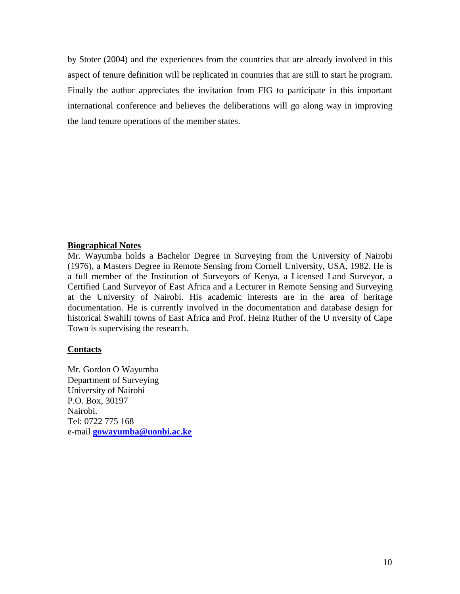by Stoter (2004) and the experiences from the countries that are already involved in this aspect of tenure definition will be replicated in countries that are still to start he program. Finally the author appreciates the invitation from FIG to participate in this important international conference and believes the deliberations will go along way in improving the land tenure operations of the member states.

# **Biographical Notes**

Mr. Wayumba holds a Bachelor Degree in Surveying from the University of Nairobi (1976), a Masters Degree in Remote Sensing from Cornell University, USA, 1982. He is a full member of the Institution of Surveyors of Kenya, a Licensed Land Surveyor, a Certified Land Surveyor of East Africa and a Lecturer in Remote Sensing and Surveying at the University of Nairobi. His academic interests are in the area of heritage documentation. He is currently involved in the documentation and database design for historical Swahili towns of East Africa and Prof. Heinz Ruther of the U nversity of Cape Town is supervising the research.

### **Contacts**

Mr. Gordon O Wayumba Department of Surveying University of Nairobi P.O. Box, 30197 Nairobi. Tel: 0722 775 168 e-mail **[gowayumba@uonbi.ac.ke](mailto:gowayumba@uonbi.ac.ke)**